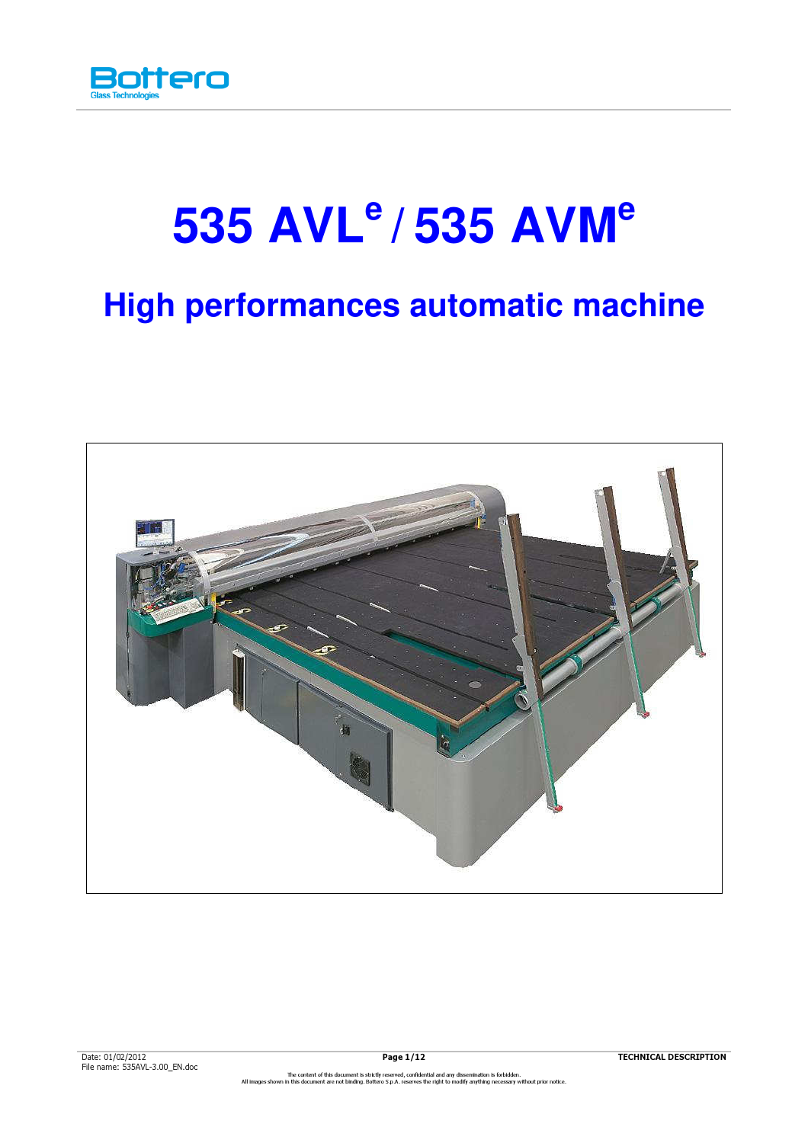

# **535 AVL<sup>e</sup>/ 535 AVM<sup>e</sup>**

# **High performances automatic machine**

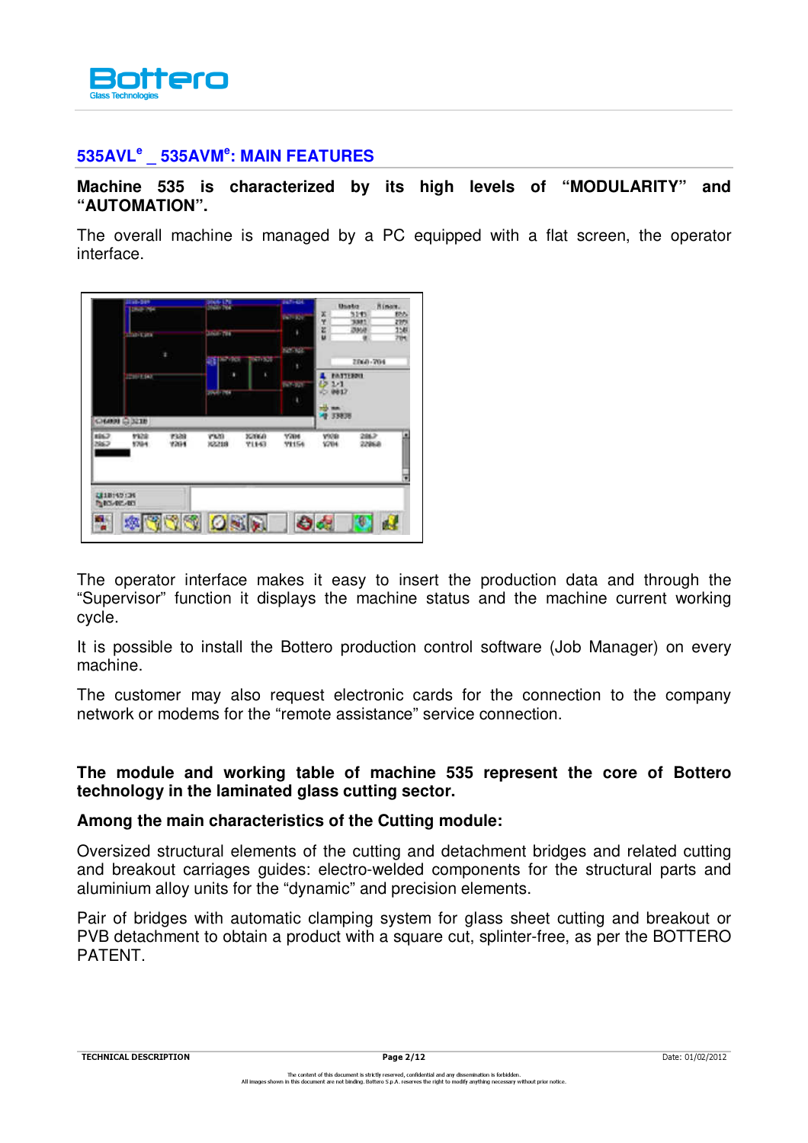

## **535AVL<sup>e</sup> \_ 535AVM<sup>e</sup> : MAIN FEATURES**

#### **Machine 535 is characterized by its high levels of "MODULARITY" and "AUTOMATION".**

The overall machine is managed by a PC equipped with a flat screen, the operator interface.



The operator interface makes it easy to insert the production data and through the "Supervisor" function it displays the machine status and the machine current working cycle.

It is possible to install the Bottero production control software (Job Manager) on every machine.

The customer may also request electronic cards for the connection to the company network or modems for the "remote assistance" service connection.

#### **The module and working table of machine 535 represent the core of Bottero technology in the laminated glass cutting sector.**

#### **Among the main characteristics of the Cutting module:**

Oversized structural elements of the cutting and detachment bridges and related cutting and breakout carriages guides: electro-welded components for the structural parts and aluminium alloy units for the "dynamic" and precision elements.

Pair of bridges with automatic clamping system for glass sheet cutting and breakout or PVB detachment to obtain a product with a square cut, splinter-free, as per the BOTTERO PATENT.

TECHNICAL DESCRIPTION Date: 01/02/2012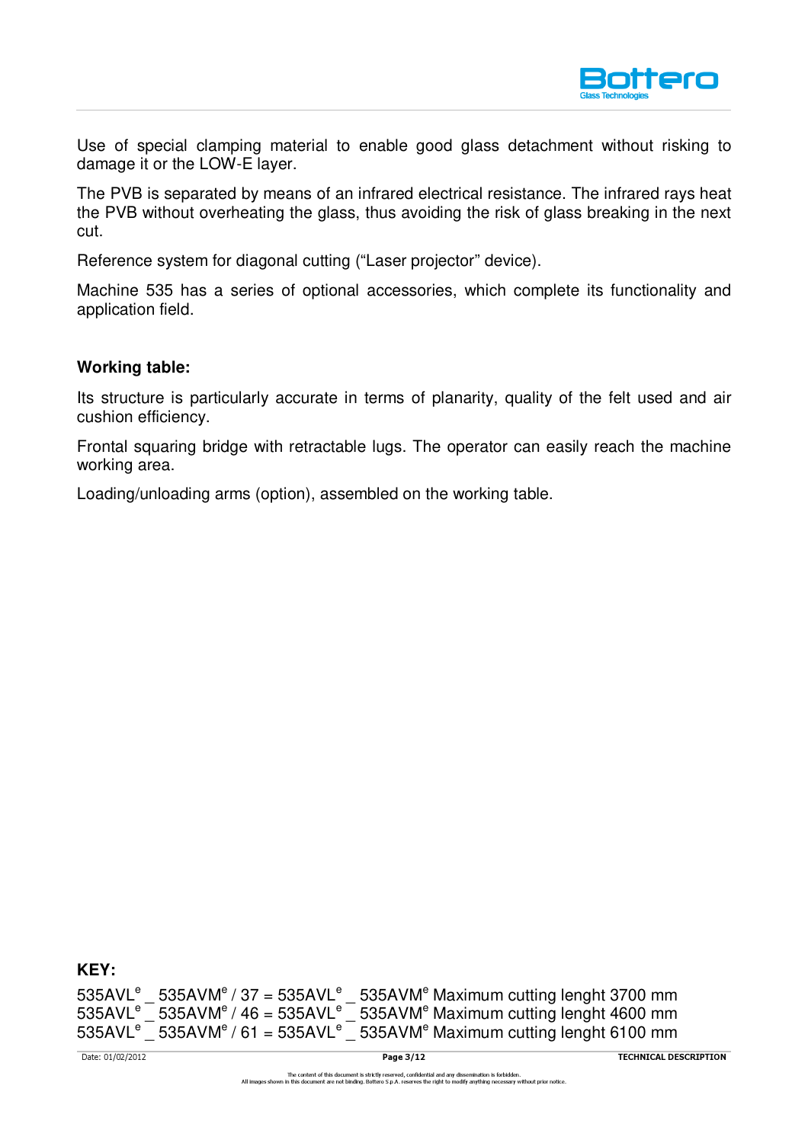

Use of special clamping material to enable good glass detachment without risking to damage it or the LOW-E layer.

The PVB is separated by means of an infrared electrical resistance. The infrared rays heat the PVB without overheating the glass, thus avoiding the risk of glass breaking in the next cut.

Reference system for diagonal cutting ("Laser projector" device).

Machine 535 has a series of optional accessories, which complete its functionality and application field.

#### **Working table:**

Its structure is particularly accurate in terms of planarity, quality of the felt used and air cushion efficiency.

Frontal squaring bridge with retractable lugs. The operator can easily reach the machine working area.

Loading/unloading arms (option), assembled on the working table.

**KEY:** 

 $535AVL<sup>e</sup>$  \_ 535AVM<sup>e</sup> / 37 = 535AVL<sup>e</sup> \_ 535AVM<sup>e</sup> Maximum cutting lenght 3700 mm  $535AVL<sup>e</sup>$  535AVM<sup>e</sup> / 46 = 535AVL<sup>e</sup> 535AVM<sup>e</sup> Maximum cutting lenght 4600 mm  $535AVL<sup>e</sup>$  535AVM<sup>e</sup> / 61 = 535AVL<sup>e</sup>  $\sqrt{ }$  535AVM<sup>e</sup> Maximum cutting lenght 6100 mm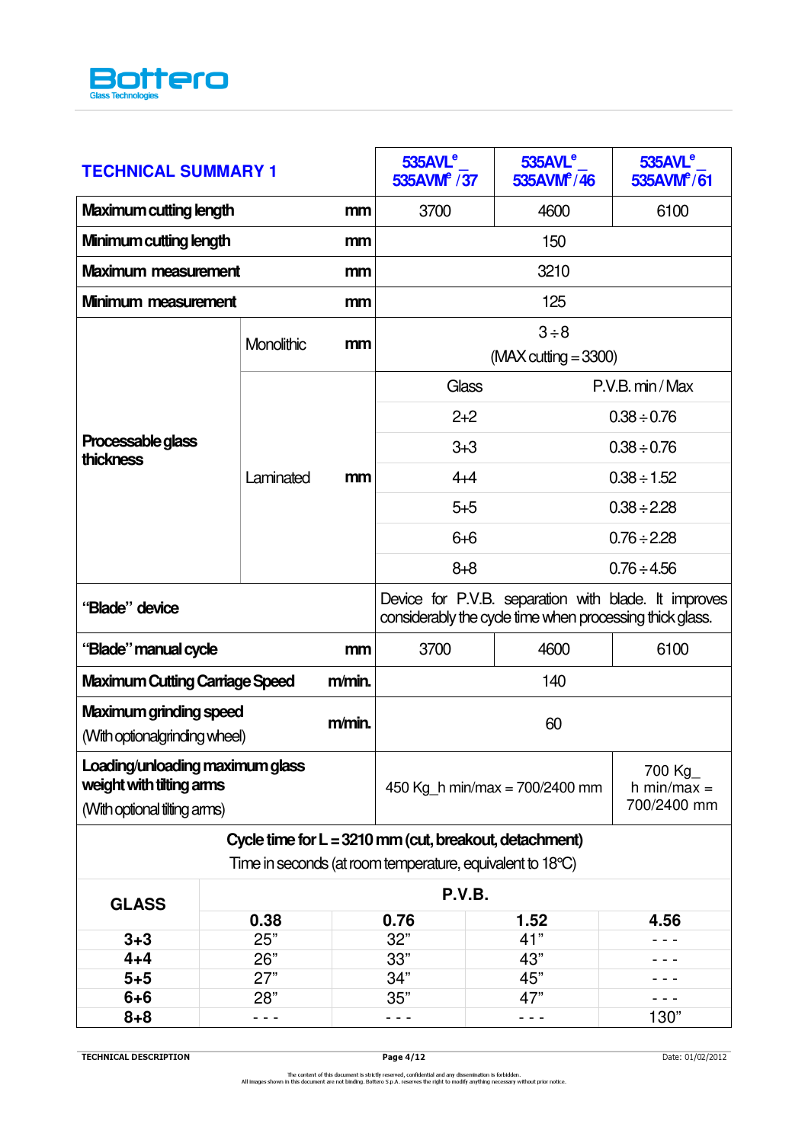

| <b>TECHNICAL SUMMARY 1</b>                                     |           |                                                                                                                  | $535$ AVL <sup>e</sup><br>535AVM <sup>e</sup> / 37        | 535AVL <sup>e</sup><br>535AVM <sup>e</sup> /46 | 535AVL <sup>e</sup><br>535AVM <sup>e</sup> /61 |
|----------------------------------------------------------------|-----------|------------------------------------------------------------------------------------------------------------------|-----------------------------------------------------------|------------------------------------------------|------------------------------------------------|
| <b>Maximum cutting length</b><br>mm                            |           | 3700                                                                                                             | 4600                                                      | 6100                                           |                                                |
| Minimum cutting length<br>mm                                   |           | 150                                                                                                              |                                                           |                                                |                                                |
| <b>Maximum measurement</b>                                     |           | mm                                                                                                               |                                                           | 3210                                           |                                                |
| Minimum measurement                                            |           | mm                                                                                                               |                                                           | 125                                            |                                                |
| Monolithic                                                     |           | mm                                                                                                               | $3 \div 8$<br>$(MAX cutting = 3300)$                      |                                                |                                                |
|                                                                |           |                                                                                                                  | Glass                                                     |                                                | P.V.B. min / Max                               |
|                                                                |           |                                                                                                                  | $2 + 2$                                                   |                                                | $0.38 \div 0.76$                               |
| Processable glass<br><b>thickness</b>                          |           |                                                                                                                  | $3 + 3$                                                   |                                                | $0.38 \div 0.76$                               |
|                                                                | Laminated | mm                                                                                                               | $4 + 4$                                                   |                                                | $0.38 \div 1.52$                               |
|                                                                |           |                                                                                                                  | $5 + 5$                                                   |                                                | $0.38 \div 2.28$                               |
|                                                                |           |                                                                                                                  | $6 + 6$                                                   |                                                | $0.76 \div 2.28$                               |
|                                                                |           |                                                                                                                  | $8 + 8$                                                   |                                                | $0.76 \div 4.56$                               |
| "Blade" device                                                 |           | Device for P.V.B. separation with blade. It improves<br>considerably the cycle time when processing thick glass. |                                                           |                                                |                                                |
| "Blade" manual cycle<br>mm                                     |           | 3700                                                                                                             | 4600                                                      | 6100                                           |                                                |
|                                                                |           |                                                                                                                  |                                                           |                                                |                                                |
| <b>Maximum Cutting Carriage Speed</b>                          |           | m/min.                                                                                                           |                                                           | 140                                            |                                                |
| <b>Maximum grinding speed</b><br>(With optionalgrinding wheel) |           | $m/min$ .                                                                                                        |                                                           | 60                                             |                                                |
| Loading/unloading maximum glass<br>weight with tilting arms    |           |                                                                                                                  | 450 Kg h min/max = $700/2400$ mm                          |                                                | 700 Kg<br>h min/max $=$                        |
| (With optional tilting arms)                                   |           |                                                                                                                  |                                                           |                                                | 700/2400 mm                                    |
|                                                                |           |                                                                                                                  | Cycle time for $L = 3210$ mm (cut, breakout, detachment)  |                                                |                                                |
|                                                                |           |                                                                                                                  | Time in seconds (at room temperature, equivalent to 18°C) |                                                |                                                |
| <b>GLASS</b>                                                   |           |                                                                                                                  | P.V.B.                                                    |                                                |                                                |
|                                                                | 0.38      |                                                                                                                  | 0.76                                                      | 1.52                                           | 4.56                                           |
| $3 + 3$                                                        | 25"       |                                                                                                                  | 32"                                                       | 41"                                            |                                                |
| $4 + 4$                                                        | 26"       |                                                                                                                  | 33"                                                       | 43"                                            |                                                |
| $5 + 5$                                                        | 27"       |                                                                                                                  | 34"                                                       | 45"                                            |                                                |
| $6 + 6$<br>$8 + 8$                                             | 28"       |                                                                                                                  | 35"                                                       | 47"                                            | 130"                                           |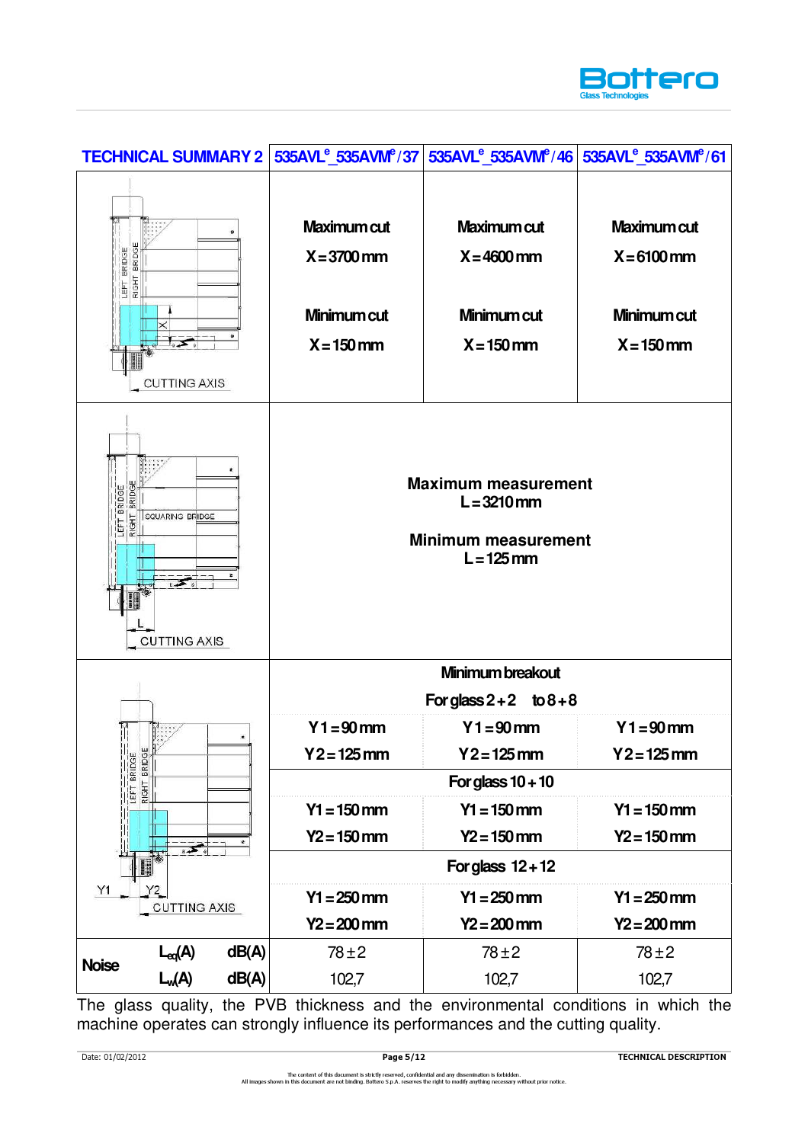

| Maximum cut<br><b>Maximum cut</b><br>Maximum cut<br>BRIDGE<br>BRIDGE<br>$X = 6100$ mm<br>$X = 3700$ mm<br>$X = 4600$ mm<br>RIGHT<br>LEFT<br>Minimum cut<br>Minimum cut<br>Minimum cut<br>$X = 150$ mm<br>$X = 150$ mm<br>$X = 150$ mm<br><b>CUTTING AXIS</b><br><b>Maximum measurement</b><br>BRIDGE<br>BRIDGE<br>$L = 3210$ mm<br><b>RIGHT</b><br>SQUARING BRIDGE<br>EFT<br><b>Minimum measurement</b><br>$L = 125$ mm<br><b>CUTTING AXIS</b><br>Minimum breakout<br>For glass $2+2$ to $8+8$<br>$Y1 = 90$ mm<br>$Y1 = 90$ mm<br>$Y1 = 90$ mm<br>×.<br>LEFT BRIDGE<br>Y 2 = 125 mm<br>Y 2 = 125 mm<br>Y 2 = 125 mm<br>For glass $10 + 10$<br>$Y1 = 150$ mm<br>$Y1 = 150$ mm<br>$Y1 = 150$ mm<br>$Y2 = 150$ mm<br>$Y2 = 150$ mm<br>$Y2 = 150$ mm<br>$\sum$<br>For glass $12 + 12$<br>Y1<br>Y2<br>$Y1 = 250$ mm<br>$Y1 = 250$ mm<br>$Y1 = 250$ mm<br><b>CUTTING AXIS</b><br>$Y2 = 200$ mm<br>$Y2 = 200$ mm<br>$Y2 = 200$ mm |              | <b>TECHNICAL SUMMARY 2</b> |  | 535AVL <sup>e</sup> 535AVM <sup>e</sup> /37 535AVL <sup>e</sup> 535AVM <sup>e</sup> /46 535AVL <sup>e</sup> 535AVM <sup>e</sup> /61 |  |
|----------------------------------------------------------------------------------------------------------------------------------------------------------------------------------------------------------------------------------------------------------------------------------------------------------------------------------------------------------------------------------------------------------------------------------------------------------------------------------------------------------------------------------------------------------------------------------------------------------------------------------------------------------------------------------------------------------------------------------------------------------------------------------------------------------------------------------------------------------------------------------------------------------------------------|--------------|----------------------------|--|-------------------------------------------------------------------------------------------------------------------------------------|--|
|                                                                                                                                                                                                                                                                                                                                                                                                                                                                                                                                                                                                                                                                                                                                                                                                                                                                                                                            |              |                            |  |                                                                                                                                     |  |
|                                                                                                                                                                                                                                                                                                                                                                                                                                                                                                                                                                                                                                                                                                                                                                                                                                                                                                                            |              |                            |  |                                                                                                                                     |  |
|                                                                                                                                                                                                                                                                                                                                                                                                                                                                                                                                                                                                                                                                                                                                                                                                                                                                                                                            |              |                            |  |                                                                                                                                     |  |
|                                                                                                                                                                                                                                                                                                                                                                                                                                                                                                                                                                                                                                                                                                                                                                                                                                                                                                                            |              |                            |  |                                                                                                                                     |  |
|                                                                                                                                                                                                                                                                                                                                                                                                                                                                                                                                                                                                                                                                                                                                                                                                                                                                                                                            |              |                            |  |                                                                                                                                     |  |
|                                                                                                                                                                                                                                                                                                                                                                                                                                                                                                                                                                                                                                                                                                                                                                                                                                                                                                                            |              |                            |  |                                                                                                                                     |  |
|                                                                                                                                                                                                                                                                                                                                                                                                                                                                                                                                                                                                                                                                                                                                                                                                                                                                                                                            |              |                            |  |                                                                                                                                     |  |
|                                                                                                                                                                                                                                                                                                                                                                                                                                                                                                                                                                                                                                                                                                                                                                                                                                                                                                                            |              |                            |  |                                                                                                                                     |  |
|                                                                                                                                                                                                                                                                                                                                                                                                                                                                                                                                                                                                                                                                                                                                                                                                                                                                                                                            |              |                            |  |                                                                                                                                     |  |
|                                                                                                                                                                                                                                                                                                                                                                                                                                                                                                                                                                                                                                                                                                                                                                                                                                                                                                                            |              |                            |  |                                                                                                                                     |  |
|                                                                                                                                                                                                                                                                                                                                                                                                                                                                                                                                                                                                                                                                                                                                                                                                                                                                                                                            |              |                            |  |                                                                                                                                     |  |
|                                                                                                                                                                                                                                                                                                                                                                                                                                                                                                                                                                                                                                                                                                                                                                                                                                                                                                                            |              |                            |  |                                                                                                                                     |  |
| dB(A)<br>$78 \pm 2$<br>$78 \pm 2$<br>$78 + 2$<br>$L_{eq}(A)$                                                                                                                                                                                                                                                                                                                                                                                                                                                                                                                                                                                                                                                                                                                                                                                                                                                               |              |                            |  |                                                                                                                                     |  |
| L <sub>w</sub> (A)<br>dB(A)<br>102,7<br>102,7<br>102,7                                                                                                                                                                                                                                                                                                                                                                                                                                                                                                                                                                                                                                                                                                                                                                                                                                                                     | <b>Noise</b> |                            |  |                                                                                                                                     |  |

The glass quality, the PVB thickness and the environmental conditions in which the machine operates can strongly influence its performances and the cutting quality.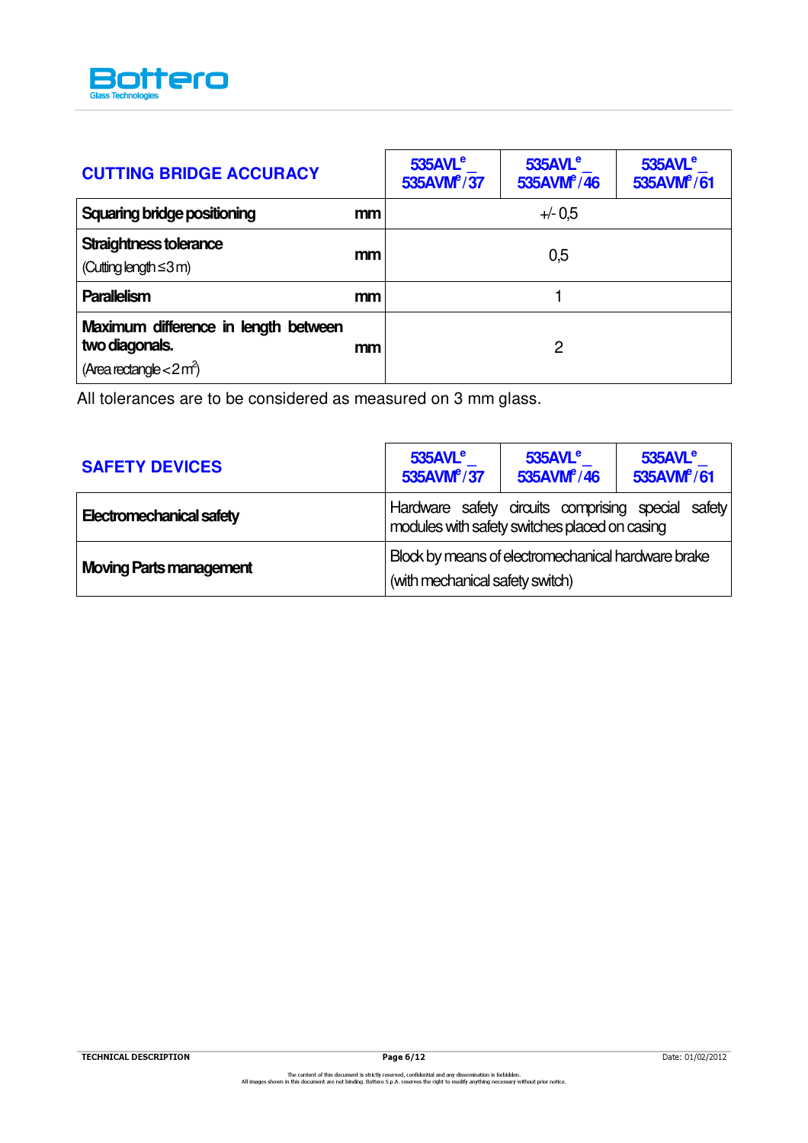

| <b>CUTTING BRIDGE ACCURACY</b>                                                                   |    | 535AVL <sup>e</sup><br>535AVM <sup>e</sup> /37 | $535$ AVL $^e$<br>535AVM <sup>e</sup> /46 | $535$ AVL $^{\circ}$<br>535AVM <sup>e</sup> /61 |
|--------------------------------------------------------------------------------------------------|----|------------------------------------------------|-------------------------------------------|-------------------------------------------------|
| <b>Squaring bridge positioning</b>                                                               | mm |                                                | $+/- 0.5$                                 |                                                 |
| Straightness tolerance<br>(Cutting length $\leq$ 3 m)                                            | mm |                                                | 0,5                                       |                                                 |
| <b>Parallelism</b>                                                                               | mm |                                                |                                           |                                                 |
| Maximum difference in length between<br>two diagonals.<br>(Area rectangle $<$ 2 m <sup>2</sup> ) | mm |                                                | 2                                         |                                                 |

All tolerances are to be considered as measured on 3 mm glass.

| <b>SAFETY DEVICES</b>          | $535$ AVL $^e$<br>535AVM <sup>e</sup> /37                                                           | $535$ AVL $^e$<br>535AVM $\sqrt[6]{46}$            | $535$ AVL $^{\circ}$<br>535AVM <sup>e</sup> /61 |
|--------------------------------|-----------------------------------------------------------------------------------------------------|----------------------------------------------------|-------------------------------------------------|
| Electromechanical safety       | Hardware safety circuits comprising special safety<br>modules with safety switches placed on casing |                                                    |                                                 |
| <b>Moving Parts management</b> | (with mechanical safety switch)                                                                     | Block by means of electromechanical hardware brake |                                                 |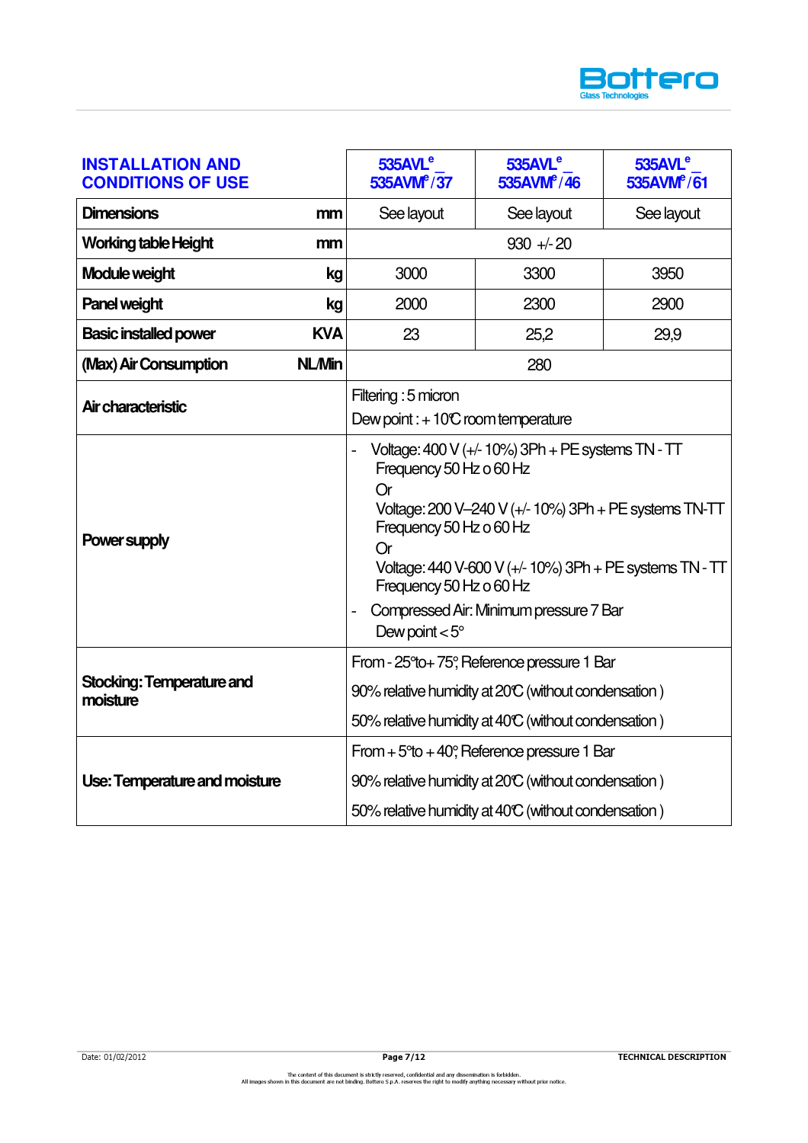

| <b>INSTALLATION AND</b><br><b>CONDITIONS OF USE</b> | 535AVL <sup>e</sup><br>535AVM <sup>e</sup> /37                                                                                                                                          | 535AVL <sup>e</sup><br>535AVM <sup>e</sup> /46                                                                                                                                                                        | 535AVL <sup>e</sup><br>535AVM <sup>e</sup> /61 |
|-----------------------------------------------------|-----------------------------------------------------------------------------------------------------------------------------------------------------------------------------------------|-----------------------------------------------------------------------------------------------------------------------------------------------------------------------------------------------------------------------|------------------------------------------------|
| <b>Dimensions</b><br>mm                             | See layout                                                                                                                                                                              | See layout                                                                                                                                                                                                            | See layout                                     |
| <b>Working table Height</b><br>mm                   |                                                                                                                                                                                         | $930 + 20$                                                                                                                                                                                                            |                                                |
| Module weight<br>kg                                 | 3000                                                                                                                                                                                    | 3300                                                                                                                                                                                                                  | 3950                                           |
| <b>Panel weight</b><br>kg                           | 2000                                                                                                                                                                                    | 2300                                                                                                                                                                                                                  | 2900                                           |
| <b>KVA</b><br><b>Basic installed power</b>          | 23                                                                                                                                                                                      | 25,2                                                                                                                                                                                                                  | 29,9                                           |
| <b>NL/Min</b><br>(Max) Air Consumption              |                                                                                                                                                                                         | 280                                                                                                                                                                                                                   |                                                |
| Air characteristic                                  | Filtering : 5 micron<br>Dew point : $+10C$ room temperature                                                                                                                             |                                                                                                                                                                                                                       |                                                |
| <b>Power supply</b>                                 | Frequency 50 Hz o 60 Hz<br><b>Or</b><br>Frequency 50 Hz o 60 Hz<br><b>Or</b><br>Frequency 50 Hz o 60 Hz<br>$\overline{a}$<br>Dew point $< 5^{\circ}$                                    | Voltage: $400$ V ( $+/-10\%$ ) 3Ph + PE systems TN - TT<br>Voltage: 200 V-240 V (+/- 10%) 3Ph + PE systems TN-TT<br>Voltage: 440 V-600 V (+/- 10%) 3Ph + PE systems TN - TT<br>Compressed Air: Minimum pressure 7 Bar |                                                |
| Stocking: Temperature and<br>moisture               | From - 25°to+75°, Reference pressure 1 Bar<br>90% relative humidity at 20°C (without condensation)<br>50% relative humidity at 40°C (without condensation)                              |                                                                                                                                                                                                                       |                                                |
| Use: Temperature and moisture                       | From $+5$ <sup>o</sup> to $+40$ <sup>o</sup> , Reference pressure 1 Bar<br>90% relative humidity at 20°C (without condensation)<br>50% relative humidity at 40°C (without condensation) |                                                                                                                                                                                                                       |                                                |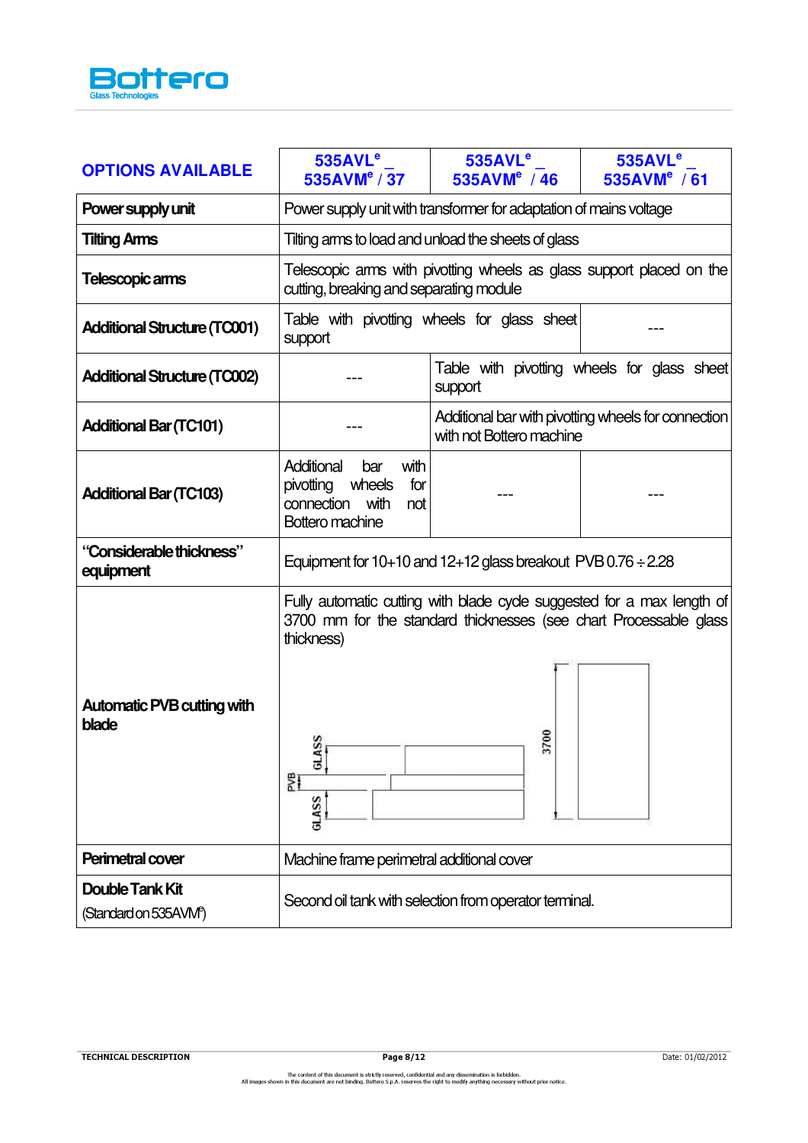

| <b>OPTIONS AVAILABLE</b>                                     | 535AVL <sup>e</sup><br>535AVM <sup>e</sup> / 37                                                      | 535AVL <sup>e</sup><br>535AVM <sup>e</sup> / 46                                                                                                     | 535AVL <sup>e</sup><br>535AVM <sup>e</sup> / 61     |  |
|--------------------------------------------------------------|------------------------------------------------------------------------------------------------------|-----------------------------------------------------------------------------------------------------------------------------------------------------|-----------------------------------------------------|--|
| Power supply unit                                            | Power supply unit with transformer for adaptation of mains voltage                                   |                                                                                                                                                     |                                                     |  |
| <b>Tilting Arms</b>                                          | Tilting arms to load and unload the sheets of glass                                                  |                                                                                                                                                     |                                                     |  |
| Telescopic arms                                              | cutting, breaking and separating module                                                              | Telescopic arms with pivotting wheels as glass support placed on the                                                                                |                                                     |  |
| <b>Additional Structure (TC001)</b>                          | support                                                                                              | Table with pivotting wheels for glass sheet                                                                                                         |                                                     |  |
| <b>Additional Structure (TC002)</b>                          | Table with pivotting wheels for glass sheet<br>support                                               |                                                                                                                                                     |                                                     |  |
| <b>Additional Bar (TC101)</b>                                |                                                                                                      | with not Bottero machine                                                                                                                            | Additional bar with pivotting wheels for connection |  |
| <b>Additional Bar (TC103)</b>                                | Additional<br>with<br>bar<br>pivotting wheels<br>for<br>connection<br>with<br>not<br>Bottero machine |                                                                                                                                                     |                                                     |  |
| "Considerable thickness"<br>equipment                        | Equipment for $10+10$ and $12+12$ glass breakout PVB $0.76 \div 2.28$                                |                                                                                                                                                     |                                                     |  |
| <b>Automatic PVB cutting with</b><br>blade                   | thickness)<br>ASS<br>ತ<br>韪<br>GLASS                                                                 | Fully automatic cutting with blade cycle suggested for a max length of<br>3700 mm for the standard thicknesses (see chart Processable glass<br>3700 |                                                     |  |
| Perimetral cover                                             | Machine frame perimetral additional cover                                                            |                                                                                                                                                     |                                                     |  |
| <b>Double Tank Kit</b><br>(Standard on 535AVM <sup>e</sup> ) | Second oil tank with selection from operator terminal.                                               |                                                                                                                                                     |                                                     |  |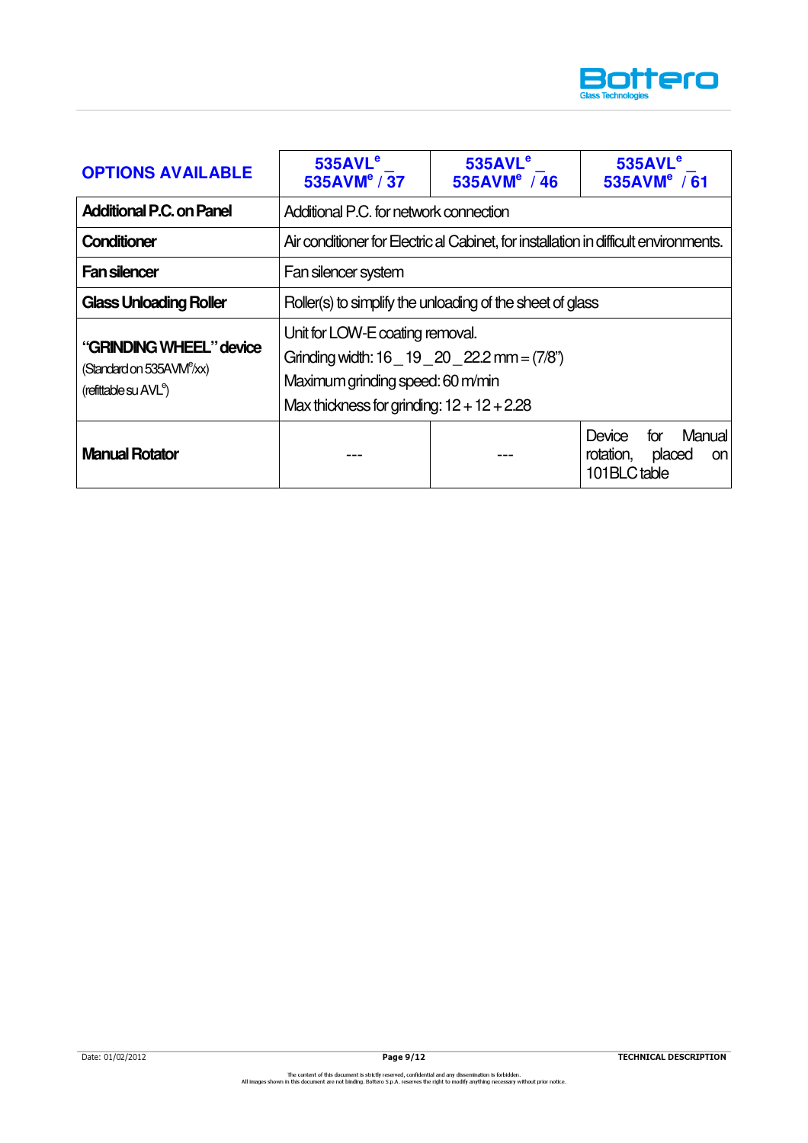

| <b>OPTIONS AVAILABLE</b>                                                                              | 535AVL <sup>e</sup><br>535AVM <sup>e</sup> / 37                                                                                                                           | 535AVL <sup>e</sup><br>535AVM <sup>e</sup> / 46 | 535AVL <sup>e</sup><br>535AVM <sup>e</sup> / 61                      |  |  |
|-------------------------------------------------------------------------------------------------------|---------------------------------------------------------------------------------------------------------------------------------------------------------------------------|-------------------------------------------------|----------------------------------------------------------------------|--|--|
| <b>Additional P.C. on Panel</b>                                                                       | Additional P.C. for network connection                                                                                                                                    |                                                 |                                                                      |  |  |
| <b>Conditioner</b>                                                                                    | Air conditioner for Electric al Cabinet, for installation in difficult environments.                                                                                      |                                                 |                                                                      |  |  |
| <b>Fan silencer</b>                                                                                   | Fan silencer system                                                                                                                                                       |                                                 |                                                                      |  |  |
| <b>Glass Unloading Roller</b>                                                                         | Roller(s) to simplify the unloading of the sheet of glass                                                                                                                 |                                                 |                                                                      |  |  |
| "GRINDING WHEEL" device<br>(Standard on 535AVM <sup>e</sup> /xx)<br>(refittable su AVL <sup>e</sup> ) | Unit for LOW-E coating removal.<br>Grinding width: $16 - 19 - 20 - 22.2$ mm = $(7/8)$<br>Maximum grinding speed: 60 m/min<br>Max thickness for grinding: $12 + 12 + 2.28$ |                                                 |                                                                      |  |  |
| <b>Manual Rotator</b>                                                                                 |                                                                                                                                                                           |                                                 | Manual<br>Device<br>for<br>rotation,<br>placed<br>on<br>101BLC table |  |  |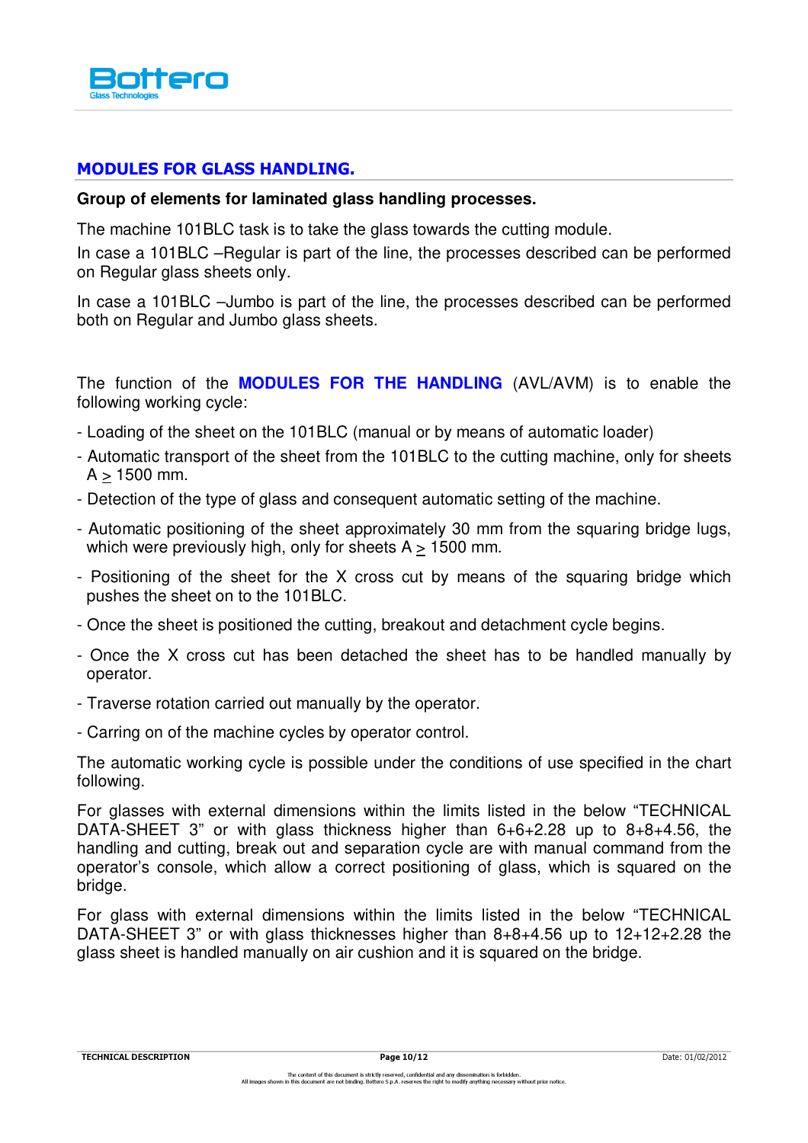

## MODULES FOR GLASS HANDLING.

#### **Group of elements for laminated glass handling processes.**

The machine 101BLC task is to take the glass towards the cutting module.

In case a 101BLC –Regular is part of the line, the processes described can be performed on Regular glass sheets only.

In case a 101BLC –Jumbo is part of the line, the processes described can be performed both on Regular and Jumbo glass sheets.

The function of the **MODULES FOR THE HANDLING** (AVL/AVM) is to enable the following working cycle:

- Loading of the sheet on the 101BLC (manual or by means of automatic loader)
- Automatic transport of the sheet from the 101BLC to the cutting machine, only for sheets  $A > 1500$  mm.
- Detection of the type of glass and consequent automatic setting of the machine.
- Automatic positioning of the sheet approximately 30 mm from the squaring bridge lugs, which were previously high, only for sheets  $A > 1500$  mm.
- Positioning of the sheet for the X cross cut by means of the squaring bridge which pushes the sheet on to the 101BLC.
- Once the sheet is positioned the cutting, breakout and detachment cycle begins.
- Once the X cross cut has been detached the sheet has to be handled manually by operator.
- Traverse rotation carried out manually by the operator.
- Carring on of the machine cycles by operator control.

The automatic working cycle is possible under the conditions of use specified in the chart following.

For glasses with external dimensions within the limits listed in the below "TECHNICAL DATA-SHEET 3" or with glass thickness higher than 6+6+2.28 up to 8+8+4.56, the handling and cutting, break out and separation cycle are with manual command from the operator's console, which allow a correct positioning of glass, which is squared on the bridge.

For glass with external dimensions within the limits listed in the below "TECHNICAL DATA-SHEET 3" or with glass thicknesses higher than 8+8+4.56 up to 12+12+2.28 the glass sheet is handled manually on air cushion and it is squared on the bridge.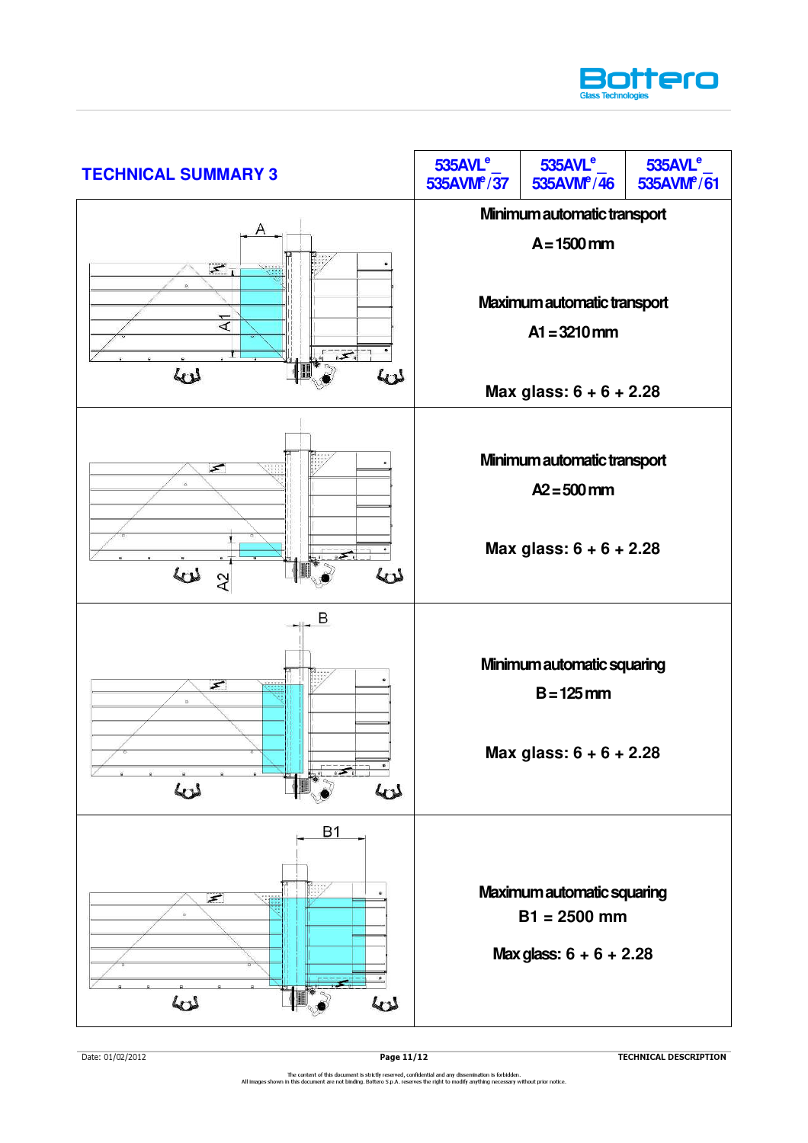